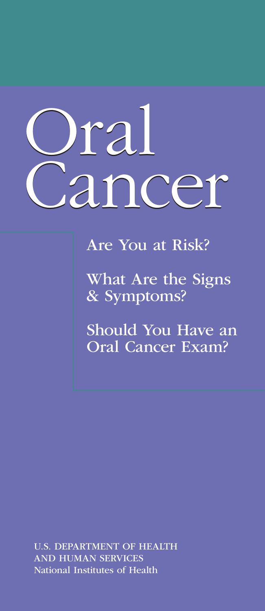# Oral Or Cancer Cancer

Are You at Risk?

What Are the Signs & Symptoms?

Should You Have an Oral Cancer Exam?

U.S. DEPARTMENT OF HEALTH AND HUMAN SERVICES National Institutes of Health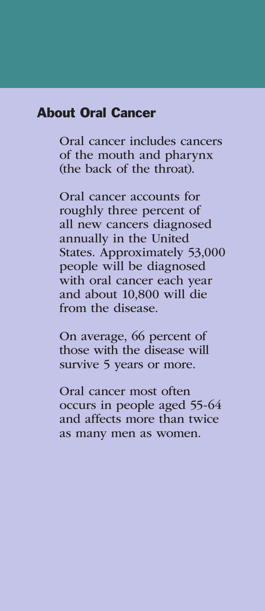#### About Oral Cancer

Oral cancer includes cancers of the mouth and pharynx (the back of the throat).

Oral cancer accounts for roughly three percent of all new cancers diagnosed annually in the United States. Approximately 53,000 people will be diagnosed with oral cancer each year and about 10,800 will die from the disease.

On average, 66 percent of those with the disease will survive 5 years or more.

Oral cancer most often occurs in people aged 55-64 and affects more than twice as many men as women.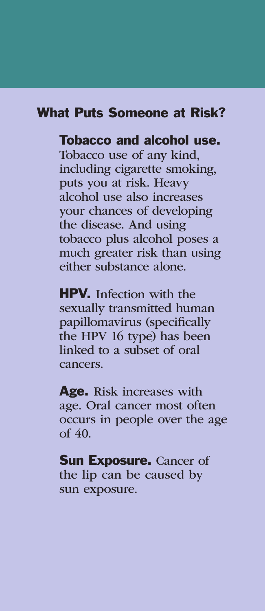#### What Puts Someone at Risk?

## Tobacco and alcohol use.

Tobacco use of any kind, including cigarette smoking, puts you at risk. Heavy alcohol use also increases your chances of developing the disease. And using tobacco plus alcohol poses a much greater risk than using either substance alone.

**HPV.** Infection with the sexually transmitted human papillomavirus (specifically the HPV 16 type) has been linked to a subset of oral cancers.

Age. Risk increases with age. Oral cancer most often occurs in people over the age of 40.

**Sun Exposure.** Cancer of the lip can be caused by sun exposure.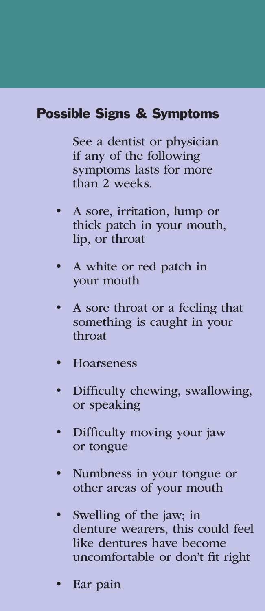# Possible Signs & Symptoms

See a dentist or physician if any of the following symptoms lasts for more than 2 weeks.

- A sore, irritation, lump or thick patch in your mouth, lip, or throat
- A white or red patch in your mouth
- A sore throat or a feeling that something is caught in your throat
- **Hoarseness**
- Difficulty chewing, swallowing, or speaking
- Difficulty moving your jaw or tongue
- Numbness in your tongue or other areas of your mouth
- Swelling of the jaw; in denture wearers, this could feel like dentures have become uncomfortable or don't fit right
- Ear pain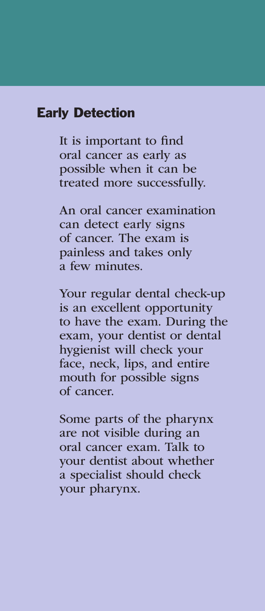#### Early Detection

It is important to find oral cancer as early as possible when it can be treated more successfully.

An oral cancer examination can detect early signs of cancer. The exam is painless and takes only a few minutes.

Your regular dental check-up is an excellent opportunity to have the exam. During the exam, your dentist or dental hygienist will check your face, neck, lips, and entire mouth for possible signs of cancer.

Some parts of the pharynx are not visible during an oral cancer exam. Talk to your dentist about whether a specialist should check your pharynx.